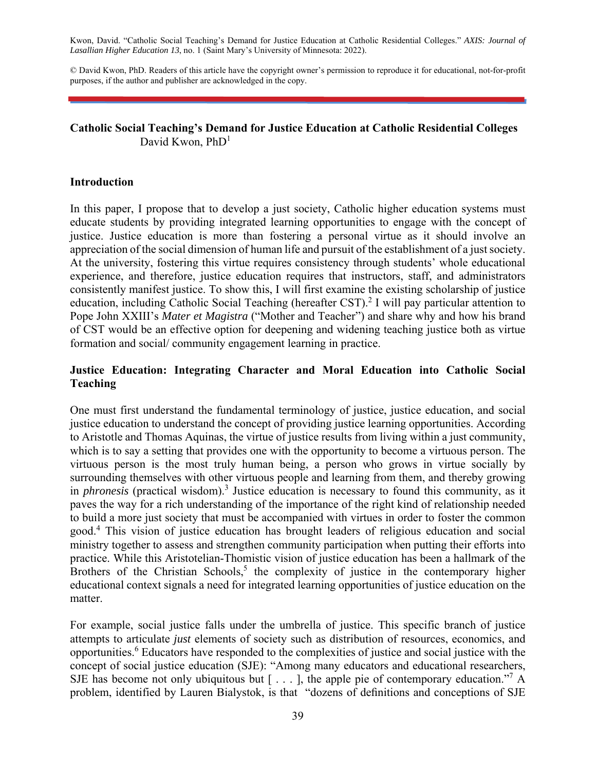Kwon, David. "Catholic Social Teaching's Demand for Justice Education at Catholic Residential Colleges." *AXIS: Journal of Lasallian Higher Education 13*, no. 1 (Saint Mary's University of Minnesota: 2022).

© David Kwon, PhD. Readers of this article have the copyright owner's permission to reproduce it for educational, not-for-profit purposes, if the author and publisher are acknowledged in the copy.

## **Catholic Social Teaching's Demand for Justice Education at Catholic Residential Colleges**  David Kwon,  $PhD<sup>1</sup>$

#### **Introduction**

In this paper, I propose that to develop a just society, Catholic higher education systems must educate students by providing integrated learning opportunities to engage with the concept of justice. Justice education is more than fostering a personal virtue as it should involve an appreciation of the social dimension of human life and pursuit of the establishment of a just society. At the university, fostering this virtue requires consistency through students' whole educational experience, and therefore, justice education requires that instructors, staff, and administrators consistently manifest justice. To show this, I will first examine the existing scholarship of justice education, including Catholic Social Teaching (hereafter CST).<sup>2</sup> I will pay particular attention to Pope John XXIII's *Mater et Magistra* ("Mother and Teacher") and share why and how his brand of CST would be an effective option for deepening and widening teaching justice both as virtue formation and social/ community engagement learning in practice.

## **Justice Education: Integrating Character and Moral Education into Catholic Social Teaching**

One must first understand the fundamental terminology of justice, justice education, and social justice education to understand the concept of providing justice learning opportunities. According to Aristotle and Thomas Aquinas, the virtue of justice results from living within a just community, which is to say a setting that provides one with the opportunity to become a virtuous person. The virtuous person is the most truly human being, a person who grows in virtue socially by surrounding themselves with other virtuous people and learning from them, and thereby growing in *phronesis* (practical wisdom).<sup>3</sup> Justice education is necessary to found this community, as it paves the way for a rich understanding of the importance of the right kind of relationship needed to build a more just society that must be accompanied with virtues in order to foster the common good.4 This vision of justice education has brought leaders of religious education and social ministry together to assess and strengthen community participation when putting their efforts into practice. While this Aristotelian-Thomistic vision of justice education has been a hallmark of the Brothers of the Christian Schools,<sup>5</sup> the complexity of justice in the contemporary higher educational context signals a need for integrated learning opportunities of justice education on the matter.

For example, social justice falls under the umbrella of justice. This specific branch of justice attempts to articulate *just* elements of society such as distribution of resources, economics, and opportunities.<sup>6</sup> Educators have responded to the complexities of justice and social justice with the concept of social justice education (SJE): "Among many educators and educational researchers, SJE has become not only ubiquitous but  $[...]$ , the apple pie of contemporary education."<sup>7</sup> A problem, identified by Lauren Bialystok, is that "dozens of definitions and conceptions of SJE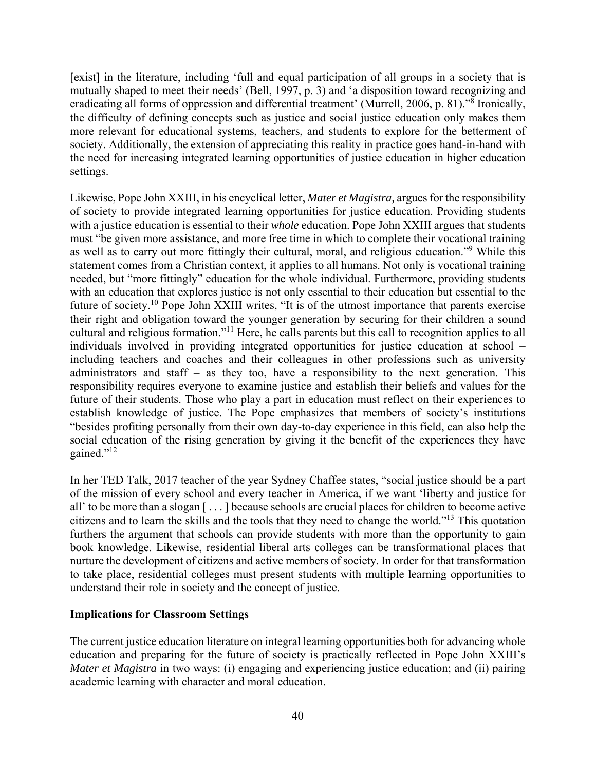[exist] in the literature, including 'full and equal participation of all groups in a society that is mutually shaped to meet their needs' (Bell, 1997, p. 3) and 'a disposition toward recognizing and eradicating all forms of oppression and differential treatment' (Murrell, 2006, p. 81)."<sup>8</sup> Ironically, the difficulty of defining concepts such as justice and social justice education only makes them more relevant for educational systems, teachers, and students to explore for the betterment of society. Additionally, the extension of appreciating this reality in practice goes hand-in-hand with the need for increasing integrated learning opportunities of justice education in higher education settings.

Likewise, Pope John XXIII, in his encyclical letter, *Mater et Magistra,* argues for the responsibility of society to provide integrated learning opportunities for justice education. Providing students with a justice education is essential to their *whole* education. Pope John XXIII argues that students must "be given more assistance, and more free time in which to complete their vocational training as well as to carry out more fittingly their cultural, moral, and religious education."<sup>9</sup> While this statement comes from a Christian context, it applies to all humans. Not only is vocational training needed, but "more fittingly" education for the whole individual. Furthermore, providing students with an education that explores justice is not only essential to their education but essential to the future of society.10 Pope John XXIII writes, "It is of the utmost importance that parents exercise their right and obligation toward the younger generation by securing for their children a sound cultural and religious formation."11 Here, he calls parents but this call to recognition applies to all individuals involved in providing integrated opportunities for justice education at school – including teachers and coaches and their colleagues in other professions such as university administrators and staff – as they too, have a responsibility to the next generation. This responsibility requires everyone to examine justice and establish their beliefs and values for the future of their students. Those who play a part in education must reflect on their experiences to establish knowledge of justice. The Pope emphasizes that members of society's institutions "besides profiting personally from their own day-to-day experience in this field, can also help the social education of the rising generation by giving it the benefit of the experiences they have gained."12

In her TED Talk, 2017 teacher of the year Sydney Chaffee states, "social justice should be a part of the mission of every school and every teacher in America, if we want 'liberty and justice for all' to be more than a slogan [ . . . ] because schools are crucial places for children to become active citizens and to learn the skills and the tools that they need to change the world."13 This quotation furthers the argument that schools can provide students with more than the opportunity to gain book knowledge. Likewise, residential liberal arts colleges can be transformational places that nurture the development of citizens and active members of society. In order for that transformation to take place, residential colleges must present students with multiple learning opportunities to understand their role in society and the concept of justice.

#### **Implications for Classroom Settings**

The current justice education literature on integral learning opportunities both for advancing whole education and preparing for the future of society is practically reflected in Pope John XXIII's *Mater et Magistra* in two ways: (i) engaging and experiencing justice education; and (ii) pairing academic learning with character and moral education.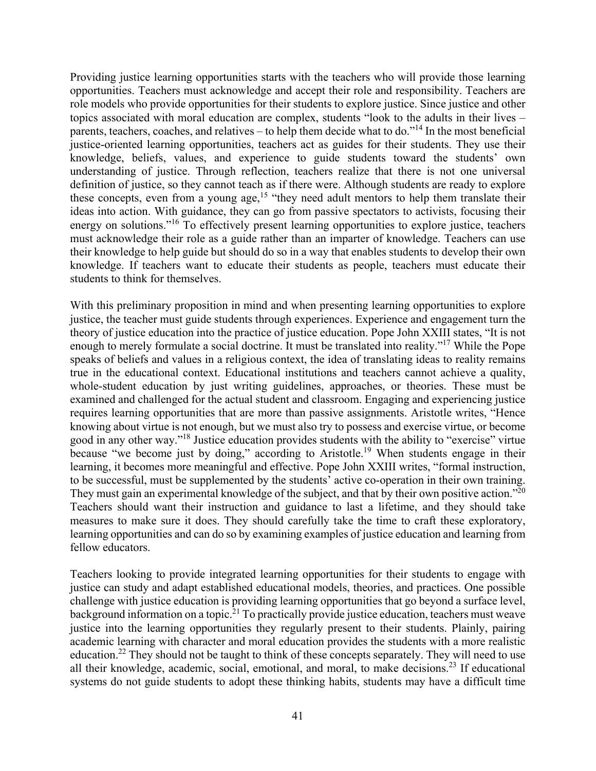Providing justice learning opportunities starts with the teachers who will provide those learning opportunities. Teachers must acknowledge and accept their role and responsibility. Teachers are role models who provide opportunities for their students to explore justice. Since justice and other topics associated with moral education are complex, students "look to the adults in their lives – parents, teachers, coaches, and relatives – to help them decide what to do."<sup>14</sup> In the most beneficial justice-oriented learning opportunities, teachers act as guides for their students. They use their knowledge, beliefs, values, and experience to guide students toward the students' own understanding of justice. Through reflection, teachers realize that there is not one universal definition of justice, so they cannot teach as if there were. Although students are ready to explore these concepts, even from a young age,<sup>15</sup> "they need adult mentors to help them translate their ideas into action. With guidance, they can go from passive spectators to activists, focusing their energy on solutions."<sup>16</sup> To effectively present learning opportunities to explore justice, teachers must acknowledge their role as a guide rather than an imparter of knowledge. Teachers can use their knowledge to help guide but should do so in a way that enables students to develop their own knowledge. If teachers want to educate their students as people, teachers must educate their students to think for themselves.

With this preliminary proposition in mind and when presenting learning opportunities to explore justice, the teacher must guide students through experiences. Experience and engagement turn the theory of justice education into the practice of justice education. Pope John XXIII states, "It is not enough to merely formulate a social doctrine. It must be translated into reality."<sup>17</sup> While the Pope speaks of beliefs and values in a religious context, the idea of translating ideas to reality remains true in the educational context. Educational institutions and teachers cannot achieve a quality, whole-student education by just writing guidelines, approaches, or theories. These must be examined and challenged for the actual student and classroom. Engaging and experiencing justice requires learning opportunities that are more than passive assignments. Aristotle writes, "Hence knowing about virtue is not enough, but we must also try to possess and exercise virtue, or become good in any other way."18 Justice education provides students with the ability to "exercise" virtue because "we become just by doing," according to Aristotle.<sup>19</sup> When students engage in their learning, it becomes more meaningful and effective. Pope John XXIII writes, "formal instruction, to be successful, must be supplemented by the students' active co-operation in their own training. They must gain an experimental knowledge of the subject, and that by their own positive action."<sup>20</sup> Teachers should want their instruction and guidance to last a lifetime, and they should take measures to make sure it does. They should carefully take the time to craft these exploratory, learning opportunities and can do so by examining examples of justice education and learning from fellow educators.

Teachers looking to provide integrated learning opportunities for their students to engage with justice can study and adapt established educational models, theories, and practices. One possible challenge with justice education is providing learning opportunities that go beyond a surface level, background information on a topic.<sup>21</sup> To practically provide justice education, teachers must weave justice into the learning opportunities they regularly present to their students. Plainly, pairing academic learning with character and moral education provides the students with a more realistic education.22 They should not be taught to think of these concepts separately. They will need to use all their knowledge, academic, social, emotional, and moral, to make decisions.<sup>23</sup> If educational systems do not guide students to adopt these thinking habits, students may have a difficult time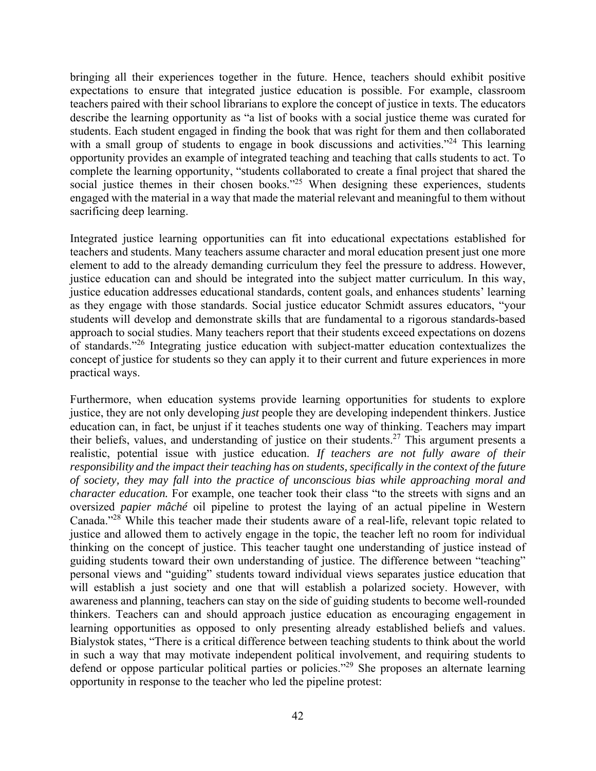bringing all their experiences together in the future. Hence, teachers should exhibit positive expectations to ensure that integrated justice education is possible. For example, classroom teachers paired with their school librarians to explore the concept of justice in texts. The educators describe the learning opportunity as "a list of books with a social justice theme was curated for students. Each student engaged in finding the book that was right for them and then collaborated with a small group of students to engage in book discussions and activities."<sup>24</sup> This learning opportunity provides an example of integrated teaching and teaching that calls students to act. To complete the learning opportunity, "students collaborated to create a final project that shared the social justice themes in their chosen books."<sup>25</sup> When designing these experiences, students engaged with the material in a way that made the material relevant and meaningful to them without sacrificing deep learning.

Integrated justice learning opportunities can fit into educational expectations established for teachers and students. Many teachers assume character and moral education present just one more element to add to the already demanding curriculum they feel the pressure to address. However, justice education can and should be integrated into the subject matter curriculum. In this way, justice education addresses educational standards, content goals, and enhances students' learning as they engage with those standards. Social justice educator Schmidt assures educators, "your students will develop and demonstrate skills that are fundamental to a rigorous standards-based approach to social studies. Many teachers report that their students exceed expectations on dozens of standards."26 Integrating justice education with subject-matter education contextualizes the concept of justice for students so they can apply it to their current and future experiences in more practical ways.

Furthermore, when education systems provide learning opportunities for students to explore justice, they are not only developing *just* people they are developing independent thinkers. Justice education can, in fact, be unjust if it teaches students one way of thinking. Teachers may impart their beliefs, values, and understanding of justice on their students.27 This argument presents a realistic, potential issue with justice education. *If teachers are not fully aware of their responsibility and the impact their teaching has on students, specifically in the context of the future of society, they may fall into the practice of unconscious bias while approaching moral and character education.* For example, one teacher took their class "to the streets with signs and an oversized *papier mâché* oil pipeline to protest the laying of an actual pipeline in Western Canada."28 While this teacher made their students aware of a real-life, relevant topic related to justice and allowed them to actively engage in the topic, the teacher left no room for individual thinking on the concept of justice. This teacher taught one understanding of justice instead of guiding students toward their own understanding of justice. The difference between "teaching" personal views and "guiding" students toward individual views separates justice education that will establish a just society and one that will establish a polarized society. However, with awareness and planning, teachers can stay on the side of guiding students to become well-rounded thinkers. Teachers can and should approach justice education as encouraging engagement in learning opportunities as opposed to only presenting already established beliefs and values. Bialystok states, "There is a critical difference between teaching students to think about the world in such a way that may motivate independent political involvement, and requiring students to defend or oppose particular political parties or policies."29 She proposes an alternate learning opportunity in response to the teacher who led the pipeline protest: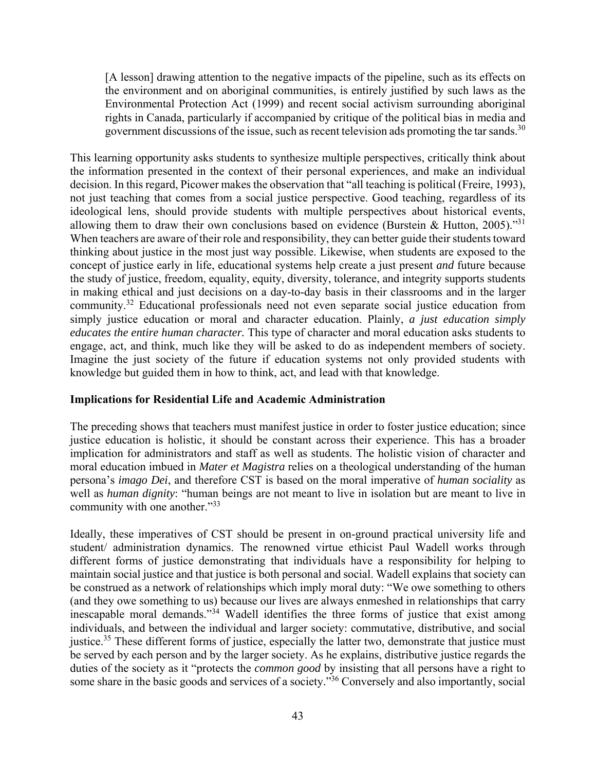[A lesson] drawing attention to the negative impacts of the pipeline, such as its effects on the environment and on aboriginal communities, is entirely justified by such laws as the Environmental Protection Act (1999) and recent social activism surrounding aboriginal rights in Canada, particularly if accompanied by critique of the political bias in media and government discussions of the issue, such as recent television ads promoting the tar sands.<sup>30</sup>

This learning opportunity asks students to synthesize multiple perspectives, critically think about the information presented in the context of their personal experiences, and make an individual decision. In this regard, Picower makes the observation that "all teaching is political (Freire, 1993), not just teaching that comes from a social justice perspective. Good teaching, regardless of its ideological lens, should provide students with multiple perspectives about historical events, allowing them to draw their own conclusions based on evidence (Burstein & Hutton, 2005).<sup>"31</sup> When teachers are aware of their role and responsibility, they can better guide their students toward thinking about justice in the most just way possible. Likewise, when students are exposed to the concept of justice early in life, educational systems help create a just present *and* future because the study of justice, freedom, equality, equity, diversity, tolerance, and integrity supports students in making ethical and just decisions on a day-to-day basis in their classrooms and in the larger community.32 Educational professionals need not even separate social justice education from simply justice education or moral and character education. Plainly, *a just education simply educates the entire human character.* This type of character and moral education asks students to engage, act, and think, much like they will be asked to do as independent members of society. Imagine the just society of the future if education systems not only provided students with knowledge but guided them in how to think, act, and lead with that knowledge.

#### **Implications for Residential Life and Academic Administration**

The preceding shows that teachers must manifest justice in order to foster justice education; since justice education is holistic, it should be constant across their experience. This has a broader implication for administrators and staff as well as students. The holistic vision of character and moral education imbued in *Mater et Magistra* relies on a theological understanding of the human persona's *imago Dei*, and therefore CST is based on the moral imperative of *human sociality* as well as *human dignity*: "human beings are not meant to live in isolation but are meant to live in community with one another."<sup>33</sup>

Ideally, these imperatives of CST should be present in on-ground practical university life and student/ administration dynamics. The renowned virtue ethicist Paul Wadell works through different forms of justice demonstrating that individuals have a responsibility for helping to maintain social justice and that justice is both personal and social. Wadell explains that society can be construed as a network of relationships which imply moral duty: "We owe something to others (and they owe something to us) because our lives are always enmeshed in relationships that carry inescapable moral demands."<sup>34</sup> Wadell identifies the three forms of justice that exist among individuals, and between the individual and larger society: commutative, distributive, and social justice.<sup>35</sup> These different forms of justice, especially the latter two, demonstrate that justice must be served by each person and by the larger society. As he explains, distributive justice regards the duties of the society as it "protects the *common good* by insisting that all persons have a right to some share in the basic goods and services of a society.<sup>356</sup> Conversely and also importantly, social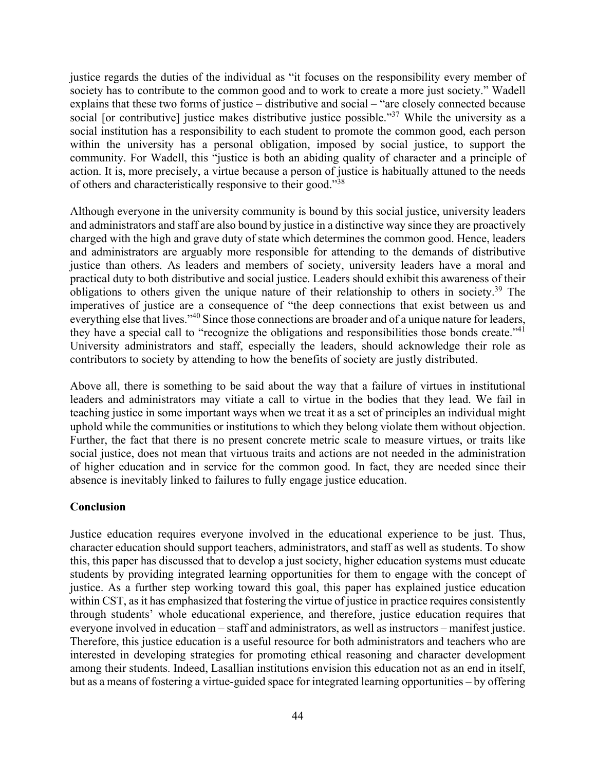justice regards the duties of the individual as "it focuses on the responsibility every member of society has to contribute to the common good and to work to create a more just society." Wadell explains that these two forms of justice – distributive and social – "are closely connected because social [or contributive] justice makes distributive justice possible."<sup>37</sup> While the university as a social institution has a responsibility to each student to promote the common good, each person within the university has a personal obligation, imposed by social justice, to support the community. For Wadell, this "justice is both an abiding quality of character and a principle of action. It is, more precisely, a virtue because a person of justice is habitually attuned to the needs of others and characteristically responsive to their good."<sup>38</sup>

Although everyone in the university community is bound by this social justice, university leaders and administrators and staff are also bound by justice in a distinctive way since they are proactively charged with the high and grave duty of state which determines the common good. Hence, leaders and administrators are arguably more responsible for attending to the demands of distributive justice than others. As leaders and members of society, university leaders have a moral and practical duty to both distributive and social justice. Leaders should exhibit this awareness of their obligations to others given the unique nature of their relationship to others in society.39 The imperatives of justice are a consequence of "the deep connections that exist between us and everything else that lives."<sup>40</sup> Since those connections are broader and of a unique nature for leaders, they have a special call to "recognize the obligations and responsibilities those bonds create."<sup>41</sup> University administrators and staff, especially the leaders, should acknowledge their role as contributors to society by attending to how the benefits of society are justly distributed.

Above all, there is something to be said about the way that a failure of virtues in institutional leaders and administrators may vitiate a call to virtue in the bodies that they lead. We fail in teaching justice in some important ways when we treat it as a set of principles an individual might uphold while the communities or institutions to which they belong violate them without objection. Further, the fact that there is no present concrete metric scale to measure virtues, or traits like social justice, does not mean that virtuous traits and actions are not needed in the administration of higher education and in service for the common good. In fact, they are needed since their absence is inevitably linked to failures to fully engage justice education.

#### **Conclusion**

Justice education requires everyone involved in the educational experience to be just. Thus, character education should support teachers, administrators, and staff as well as students. To show this, this paper has discussed that to develop a just society, higher education systems must educate students by providing integrated learning opportunities for them to engage with the concept of justice. As a further step working toward this goal, this paper has explained justice education within CST, as it has emphasized that fostering the virtue of justice in practice requires consistently through students' whole educational experience, and therefore, justice education requires that everyone involved in education – staff and administrators, as well as instructors – manifest justice. Therefore, this justice education is a useful resource for both administrators and teachers who are interested in developing strategies for promoting ethical reasoning and character development among their students. Indeed, Lasallian institutions envision this education not as an end in itself, but as a means of fostering a virtue-guided space for integrated learning opportunities – by offering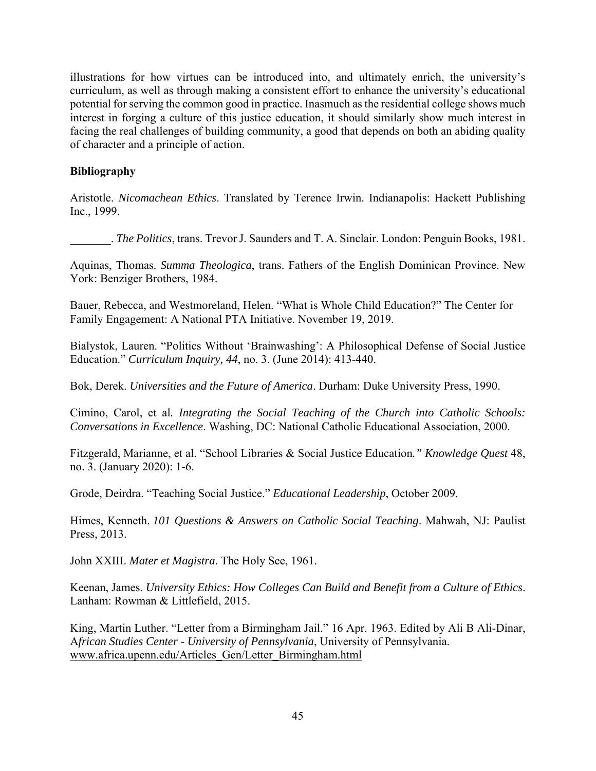illustrations for how virtues can be introduced into, and ultimately enrich, the university's curriculum, as well as through making a consistent effort to enhance the university's educational potential for serving the common good in practice. Inasmuch as the residential college shows much interest in forging a culture of this justice education, it should similarly show much interest in facing the real challenges of building community, a good that depends on both an abiding quality of character and a principle of action.

# **Bibliography**

Aristotle. *Nicomachean Ethics*. Translated by Terence Irwin. Indianapolis: Hackett Publishing Inc., 1999.

\_\_\_\_\_\_\_. *The Politics*, trans. Trevor J. Saunders and T. A. Sinclair. London: Penguin Books, 1981.

Aquinas, Thomas. *Summa Theologica*, trans. Fathers of the English Dominican Province. New York: Benziger Brothers, 1984.

Bauer, Rebecca, and Westmoreland, Helen. "What is Whole Child Education?" The Center for Family Engagement: A National PTA Initiative. November 19, 2019.

Bialystok, Lauren. "Politics Without 'Brainwashing': A Philosophical Defense of Social Justice Education." *Curriculum Inquiry, 44*, no. 3. (June 2014): 413-440.

Bok, Derek. *Universities and the Future of America*. Durham: Duke University Press, 1990.

Cimino, Carol, et al*. Integrating the Social Teaching of the Church into Catholic Schools: Conversations in Excellence*. Washing, DC: National Catholic Educational Association, 2000.

Fitzgerald, Marianne, et al. "School Libraries & Social Justice Education*." Knowledge Quest* 48, no. 3. (January 2020): 1-6.

Grode, Deirdra. "Teaching Social Justice." *Educational Leadership*, October 2009.

Himes, Kenneth. *101 Questions & Answers on Catholic Social Teaching*. Mahwah, NJ: Paulist Press, 2013.

John XXIII. *Mater et Magistra*. The Holy See, 1961.

Keenan, James. *University Ethics: How Colleges Can Build and Benefit from a Culture of Ethics*. Lanham: Rowman & Littlefield, 2015.

King, Martin Luther. "Letter from a Birmingham Jail." 16 Apr. 1963. Edited by Ali B Ali-Dinar, A*frican Studies Center - University of Pennsylvania*, University of Pennsylvania. www.africa.upenn.edu/Articles\_Gen/Letter\_Birmingham.html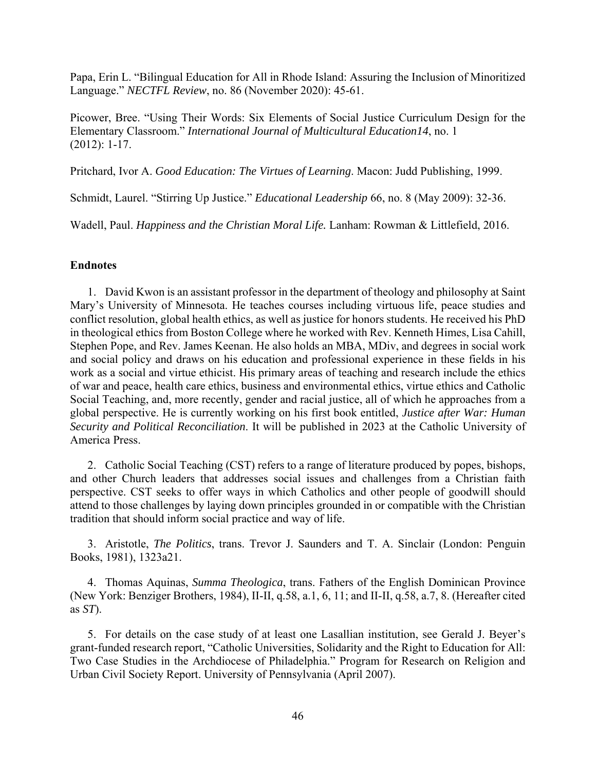Papa, Erin L. "Bilingual Education for All in Rhode Island: Assuring the Inclusion of Minoritized Language." *NECTFL Review*, no. 86 (November 2020): 45-61.

Picower, Bree. "Using Their Words: Six Elements of Social Justice Curriculum Design for the Elementary Classroom." *International Journal of Multicultural Education14*, no. 1 (2012): 1-17.

Pritchard, Ivor A. *Good Education: The Virtues of Learning*. Macon: Judd Publishing, 1999.

Schmidt, Laurel. "Stirring Up Justice." *Educational Leadership* 66, no. 8 (May 2009): 32-36.

Wadell, Paul. *Happiness and the Christian Moral Life.* Lanham: Rowman & Littlefield, 2016.

#### **Endnotes**

1. David Kwon is an assistant professor in the department of theology and philosophy at Saint Mary's University of Minnesota. He teaches courses including virtuous life, peace studies and conflict resolution, global health ethics, as well as justice for honors students. He received his PhD in theological ethics from Boston College where he worked with Rev. Kenneth Himes, Lisa Cahill, Stephen Pope, and Rev. James Keenan. He also holds an MBA, MDiv, and degrees in social work and social policy and draws on his education and professional experience in these fields in his work as a social and virtue ethicist. His primary areas of teaching and research include the ethics of war and peace, health care ethics, business and environmental ethics, virtue ethics and Catholic Social Teaching, and, more recently, gender and racial justice, all of which he approaches from a global perspective. He is currently working on his first book entitled, *Justice after War: Human Security and Political Reconciliation*. It will be published in 2023 at the Catholic University of America Press.

2. Catholic Social Teaching (CST) refers to a range of literature produced by popes, bishops, and other Church leaders that addresses social issues and challenges from a Christian faith perspective. CST seeks to offer ways in which Catholics and other people of goodwill should attend to those challenges by laying down principles grounded in or compatible with the Christian tradition that should inform social practice and way of life.

3. Aristotle, *The Politics*, trans. Trevor J. Saunders and T. A. Sinclair (London: Penguin Books, 1981), 1323a21.

4. Thomas Aquinas, *Summa Theologica*, trans. Fathers of the English Dominican Province (New York: Benziger Brothers, 1984), II-II, q.58, a.1, 6, 11; and II-II, q.58, a.7, 8. (Hereafter cited as *ST*).

5. For details on the case study of at least one Lasallian institution, see Gerald J. Beyer's grant-funded research report, "Catholic Universities, Solidarity and the Right to Education for All: Two Case Studies in the Archdiocese of Philadelphia." Program for Research on Religion and Urban Civil Society Report. University of Pennsylvania (April 2007).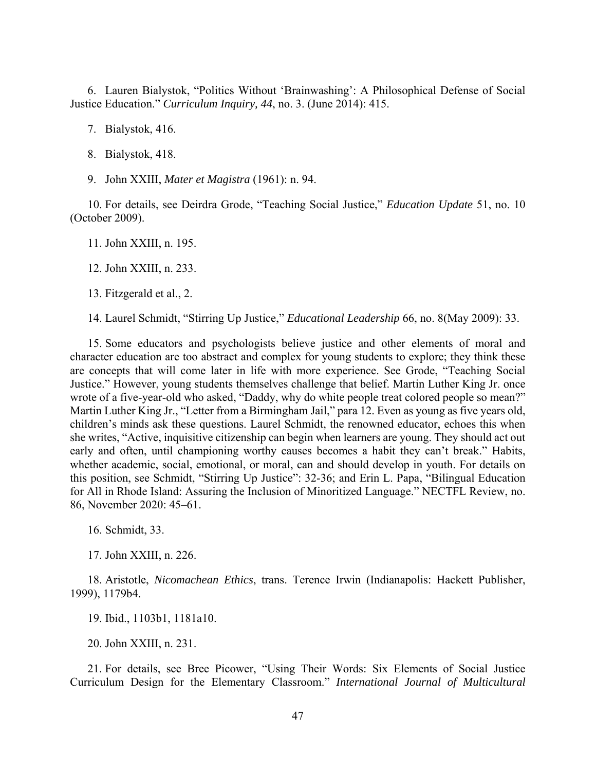6. Lauren Bialystok, "Politics Without 'Brainwashing': A Philosophical Defense of Social Justice Education." *Curriculum Inquiry, 44*, no. 3. (June 2014): 415.

7. Bialystok, 416.

- 8. Bialystok, 418.
- 9. John XXIII, *Mater et Magistra* (1961): n. 94.

10. For details, see Deirdra Grode, "Teaching Social Justice," *Education Update* 51, no. 10 (October 2009).

11. John XXIII, n. 195.

12. John XXIII, n. 233.

13. Fitzgerald et al., 2.

14. Laurel Schmidt, "Stirring Up Justice," *Educational Leadership* 66, no. 8(May 2009): 33.

15. Some educators and psychologists believe justice and other elements of moral and character education are too abstract and complex for young students to explore; they think these are concepts that will come later in life with more experience. See Grode, "Teaching Social Justice." However, young students themselves challenge that belief. Martin Luther King Jr. once wrote of a five-year-old who asked, "Daddy, why do white people treat colored people so mean?" Martin Luther King Jr., "Letter from a Birmingham Jail," para 12. Even as young as five years old, children's minds ask these questions. Laurel Schmidt, the renowned educator, echoes this when she writes, "Active, inquisitive citizenship can begin when learners are young. They should act out early and often, until championing worthy causes becomes a habit they can't break." Habits, whether academic, social, emotional, or moral, can and should develop in youth. For details on this position, see Schmidt, "Stirring Up Justice": 32-36; and Erin L. Papa, "Bilingual Education for All in Rhode Island: Assuring the Inclusion of Minoritized Language." NECTFL Review, no. 86, November 2020: 45–61.

16. Schmidt, 33.

17. John XXIII, n. 226.

18. Aristotle, *Nicomachean Ethics*, trans. Terence Irwin (Indianapolis: Hackett Publisher, 1999), 1179b4.

19. Ibid., 1103b1, 1181a10.

20. John XXIII, n. 231.

21. For details, see Bree Picower, "Using Their Words: Six Elements of Social Justice Curriculum Design for the Elementary Classroom." *International Journal of Multicultural*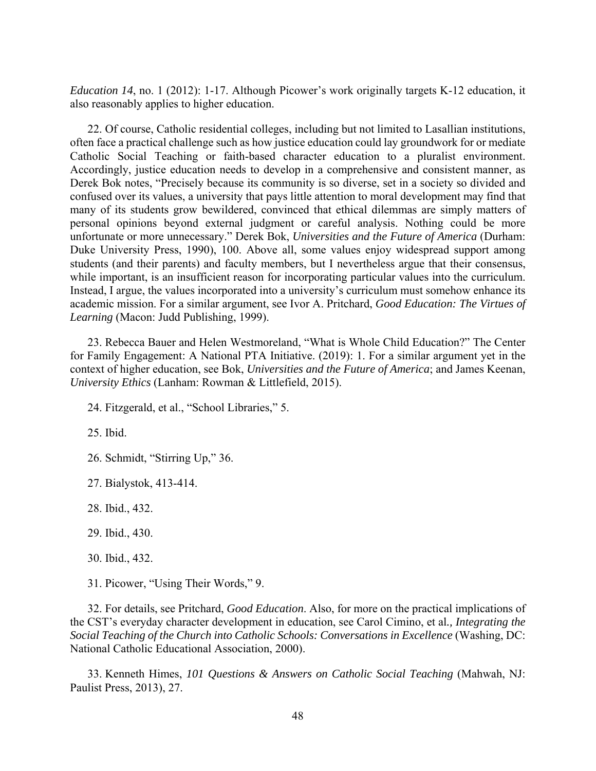*Education 14*, no. 1 (2012): 1-17. Although Picower's work originally targets K-12 education, it also reasonably applies to higher education.

22. Of course, Catholic residential colleges, including but not limited to Lasallian institutions, often face a practical challenge such as how justice education could lay groundwork for or mediate Catholic Social Teaching or faith-based character education to a pluralist environment. Accordingly, justice education needs to develop in a comprehensive and consistent manner, as Derek Bok notes, "Precisely because its community is so diverse, set in a society so divided and confused over its values, a university that pays little attention to moral development may find that many of its students grow bewildered, convinced that ethical dilemmas are simply matters of personal opinions beyond external judgment or careful analysis. Nothing could be more unfortunate or more unnecessary." Derek Bok, *Universities and the Future of America* (Durham: Duke University Press, 1990), 100. Above all, some values enjoy widespread support among students (and their parents) and faculty members, but I nevertheless argue that their consensus, while important, is an insufficient reason for incorporating particular values into the curriculum. Instead, I argue, the values incorporated into a university's curriculum must somehow enhance its academic mission. For a similar argument, see Ivor A. Pritchard, *Good Education: The Virtues of Learning* (Macon: Judd Publishing, 1999).

23. Rebecca Bauer and Helen Westmoreland, "What is Whole Child Education?" The Center for Family Engagement: A National PTA Initiative. (2019): 1. For a similar argument yet in the context of higher education, see Bok, *Universities and the Future of America*; and James Keenan, *University Ethics* (Lanham: Rowman & Littlefield, 2015).

24. Fitzgerald, et al., "School Libraries," 5.

25. Ibid.

26. Schmidt, "Stirring Up," 36.

27. Bialystok, 413-414.

28. Ibid., 432.

29. Ibid., 430.

30. Ibid., 432.

31. Picower, "Using Their Words," 9.

32. For details, see Pritchard, *Good Education*. Also, for more on the practical implications of the CST's everyday character development in education, see Carol Cimino, et al*., Integrating the Social Teaching of the Church into Catholic Schools: Conversations in Excellence* (Washing, DC: National Catholic Educational Association, 2000).

33. Kenneth Himes, *101 Questions & Answers on Catholic Social Teaching* (Mahwah, NJ: Paulist Press, 2013), 27.